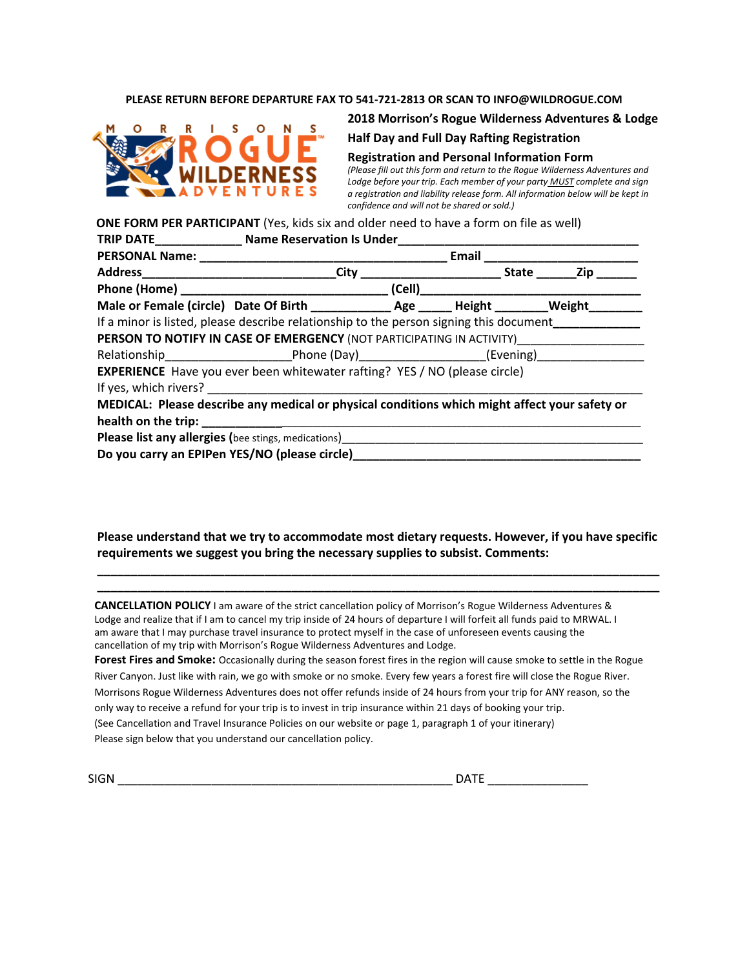### **PLEASE RETURN BEFORE DEPARTURE FAX TO 541-721-2813 OR SCAN TO INFO@WILDROGUE.COM**



### **2018 Morrison's Rogue Wilderness Adventures & Lodge**

### **Half Day and Full Day Rafting Registration**

#### **Registration and Personal Information Form**

*(Please fill out this form and return to the Rogue Wilderness Adventures and Lodge before your trip. Each member of your party MUST complete and sign a registration and liability release form. All information below will be kept in confidence and will not be shared or sold.)*

**ONE FORM PER PARTICIPANT** (Yes, kids six and older need to have a form on file as well)

|                                                                                        | TRIP DATE_________________ Name Reservation Is Under____                                             |  |  |  |  |  |  |  |
|----------------------------------------------------------------------------------------|------------------------------------------------------------------------------------------------------|--|--|--|--|--|--|--|
|                                                                                        | Email                                                                                                |  |  |  |  |  |  |  |
|                                                                                        | City                                                                                                 |  |  |  |  |  |  |  |
|                                                                                        |                                                                                                      |  |  |  |  |  |  |  |
|                                                                                        | Male or Female (circle) Date Of Birth ________________ Age _______ Height _________ Weight _________ |  |  |  |  |  |  |  |
| If a minor is listed, please describe relationship to the person signing this document |                                                                                                      |  |  |  |  |  |  |  |
|                                                                                        | <b>PERSON TO NOTIFY IN CASE OF EMERGENCY (NOT PARTICIPATING IN ACTIVITY)</b>                         |  |  |  |  |  |  |  |
|                                                                                        | Relationship______________________________Phone (Day)__________________________(Evening)___________  |  |  |  |  |  |  |  |
|                                                                                        | <b>EXPERIENCE</b> Have you ever been whitewater rafting? YES / NO (please circle)                    |  |  |  |  |  |  |  |
|                                                                                        |                                                                                                      |  |  |  |  |  |  |  |
|                                                                                        | MEDICAL: Please describe any medical or physical conditions which might affect your safety or        |  |  |  |  |  |  |  |
|                                                                                        |                                                                                                      |  |  |  |  |  |  |  |
|                                                                                        | <b>Please list any allergies (bee stings, medications)</b>                                           |  |  |  |  |  |  |  |
|                                                                                        | Do you carry an EPIPen YES/NO (please circle)___                                                     |  |  |  |  |  |  |  |

**Please understand that we try to accommodate most dietary requests. However, if you have specific requirements we suggest you bring the necessary supplies to subsist. Comments:**

**\_\_\_\_\_\_\_\_\_\_\_\_\_\_\_\_\_\_\_\_\_\_\_\_\_\_\_\_\_\_\_\_\_\_\_\_\_\_\_\_\_\_\_\_\_\_\_\_\_\_\_\_\_\_\_\_\_\_\_\_\_\_\_\_\_\_\_\_\_\_\_\_\_\_\_\_\_\_\_\_\_\_\_\_ \_\_\_\_\_\_\_\_\_\_\_\_\_\_\_\_\_\_\_\_\_\_\_\_\_\_\_\_\_\_\_\_\_\_\_\_\_\_\_\_\_\_\_\_\_\_\_\_\_\_\_\_\_\_\_\_\_\_\_\_\_\_\_\_\_\_\_\_\_\_\_\_\_\_\_\_\_\_\_\_\_\_\_\_**

**CANCELLATION POLICY** I am aware of the strict cancellation policy of Morrison's Rogue Wilderness Adventures & Lodge and realize that if I am to cancel my trip inside of 24 hours of departure I will forfeit all funds paid to MRWAL. I am aware that I may purchase travel insurance to protect myself in the case of unforeseen events causing the cancellation of my trip with Morrison's Rogue Wilderness Adventures and Lodge.

**Forest Fires and Smoke:** Occasionally during the season forest fires in the region will cause smoke to settle in the Rogue River Canyon. Just like with rain, we go with smoke or no smoke. Every few years a forest fire will close the Rogue River. Morrisons Rogue Wilderness Adventures does not offer refunds inside of 24 hours from your trip for ANY reason, so the only way to receive a refund for your trip is to invest in trip insurance within 21 days of booking your trip. (See Cancellation and Travel Insurance Policies on our website or page 1, paragraph 1 of your itinerary) Please sign below that you understand our cancellation policy.

 $SIGN$ 

| DAT |  |  |  |
|-----|--|--|--|
|     |  |  |  |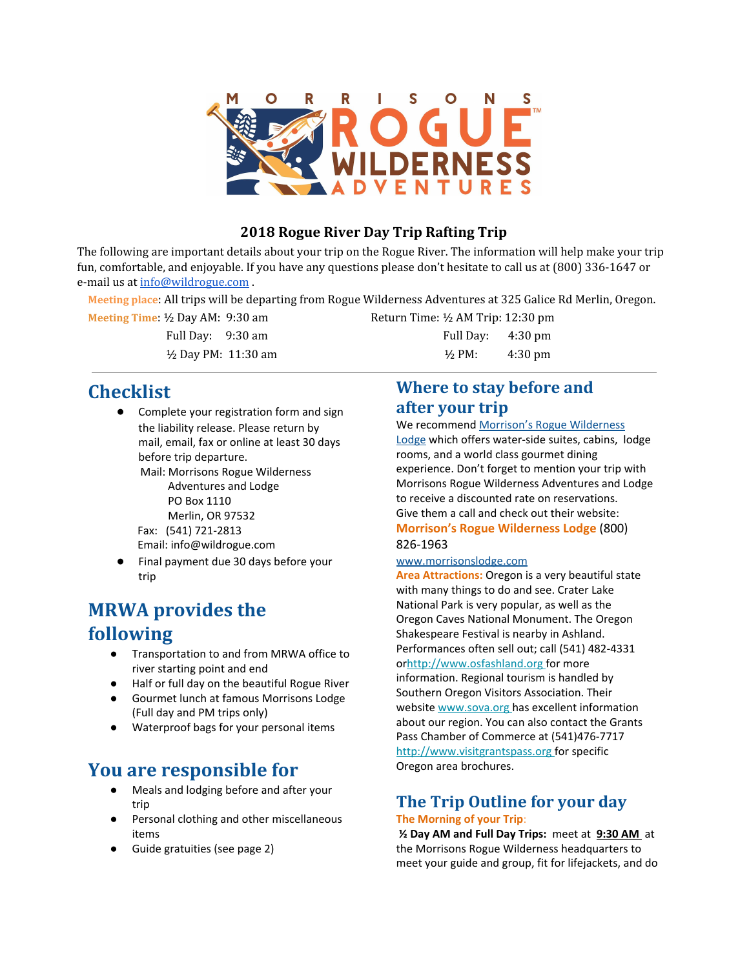

### **2018 Rogue River Day Trip Rafting Trip**

The following are important details about your trip on the Rogue River. The information will help make your trip fun, comfortable, and enjoyable. If you have any questions please don't hesitate to call us at (800) 336-1647 or e-mail us at [info@wildrogue.com](mailto:info@wildrogue.com) .

**Meeting place**: All trips will be departing from Rogue Wilderness Adventures at 325 Galice Rd Merlin, Oregon.

**Meeting Time:** ½ Day AM: 9:30 am Return Time: ½ AM Trip: 12:30 pm Full Day: 9:30 am Full Day: 4:30 pm  $\frac{1}{2}$  Day PM: 11:30 am  $\frac{1}{2}$  PM: 4:30 pm

**Checklist**

Complete your registration form and sign the liability release. Please return by mail, email, fax or online at least 30 days before trip departure. Mail: Morrisons Rogue Wilderness

Adventures and Lodge PO Box 1110 Merlin, OR 97532 Fax: (541) 721-2813 Email: [info@wildrogue.com](mailto:info@wildrogue.com)

Final payment due 30 days before your trip

# **MRWA provides the following**

- Transportation to and from MRWA office to river starting point and end
- Half or full day on the beautiful Rogue River
- Gourmet lunch at famous Morrisons Lodge (Full day and PM trips only)
- Waterproof bags for your personal items

## **You are responsible for**

- Meals and lodging before and after your trip
- Personal clothing and other miscellaneous items
- Guide gratuities (see page 2)

## **Where to stay before and after your trip**

We recommend Morrison's Rogue [Wilderness](http://www.morrisonslodge.com/)

[Lodge](http://www.morrisonslodge.com/) which offers water-side suites, cabins, lodge rooms, and a world class gourmet dining experience. Don't forget to mention your trip with Morrisons Rogue Wilderness Adventures and Lodge to receive a discounted rate on reservations. Give them a call and check out their website: **Morrison's Rogue Wilderness Lodge** (800)

### 826-1963

### www.morrisonslodge.com

**Area Attractions:** Oregon is a very beautiful state with many things to do and see. Crater Lake National Park is very popular, as well as the Oregon Caves National Monument. The Oregon Shakespeare Festival is nearby in Ashland. Performances often sell out; call (541) 482-4331 or[http://www.osfashland.org](http://www.osfashland.org/) [f](http://www.osfashland.org/)or more information. Regional tourism is handled by Southern Oregon Visitors Association. Their website [www.sova.org](http://www.sova.org/) has excellent information about our region. You can also contact the Grants Pass Chamber of Commerce at (541)476-7717 [http://www.visitgrantspass.org](http://www.visitgrantspass.org/) for specific Oregon area brochures.

### **The Trip Outline for your day The Morning of your Trip**:

**½ Day AM and Full Day Trips:** meet at **9:30 AM** at the Morrisons Rogue Wilderness headquarters to meet your guide and group, fit for lifejackets, and do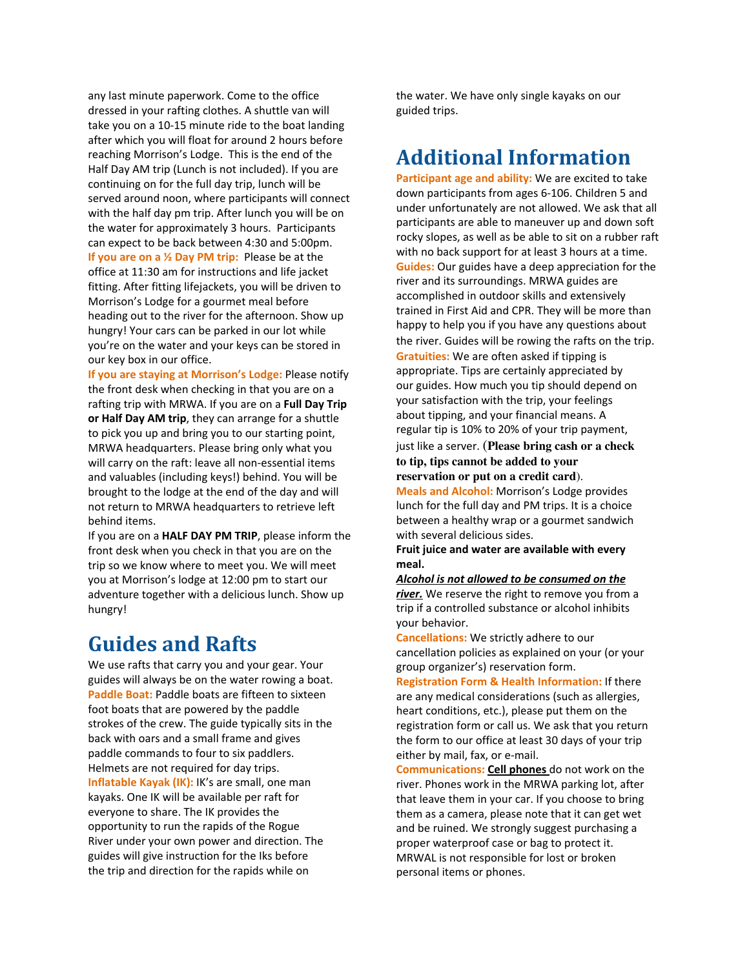any last minute paperwork. Come to the office dressed in your rafting clothes. A shuttle van will take you on a 10-15 minute ride to the boat landing after which you will float for around 2 hours before reaching Morrison's Lodge. This is the end of the Half Day AM trip (Lunch is not included). If you are continuing on for the full day trip, lunch will be served around noon, where participants will connect with the half day pm trip. After lunch you will be on the water for approximately 3 hours. Participants can expect to be back between 4:30 and 5:00pm. **If you are on a ½ Day PM trip:** Please be at the office at 11:30 am for instructions and life jacket fitting. After fitting lifejackets, you will be driven to Morrison's Lodge for a gourmet meal before heading out to the river for the afternoon. Show up hungry! Your cars can be parked in our lot while you're on the water and your keys can be stored in our key box in our office.

**If** you are staying at Morrison's Lodge: Please notify the front desk when checking in that you are on a rafting trip with MRWA. If you are on a **Full Day Trip or Half Day AM trip**, they can arrange for a shuttle to pick you up and bring you to our starting point, MRWA headquarters. Please bring only what you will carry on the raft: leave all non-essential items and valuables (including keys!) behind. You will be brought to the lodge at the end of the day and will not return to MRWA headquarters to retrieve left behind items.

If you are on a **HALF DAY PM TRIP**, please inform the front desk when you check in that you are on the trip so we know where to meet you. We will meet you at Morrison's lodge at 12:00 pm to start our adventure together with a delicious lunch. Show up hungry!

# **Guides and Rafts**

We use rafts that carry you and your gear. Your guides will always be on the water rowing a boat. **Paddle Boat:** Paddle boats are fifteen to sixteen foot boats that are powered by the paddle strokes of the crew. The guide typically sits in the back with oars and a small frame and gives paddle commands to four to six paddlers. Helmets are not required for day trips. **Inflatable Kayak (IK):** IK's are small, one man kayaks. One IK will be available per raft for everyone to share. The IK provides the opportunity to run the rapids of the Rogue River under your own power and direction. The guides will give instruction for the Iks before the trip and direction for the rapids while on

the water. We have only single kayaks on our guided trips.

# **Additional Information**

**Participant age and ability:** We are excited to take down participants from ages 6-106. Children 5 and under unfortunately are not allowed. We ask that all participants are able to maneuver up and down soft rocky slopes, as well as be able to sit on a rubber raft with no back support for at least 3 hours at a time. **Guides:** Our guides have a deep appreciation for the river and its surroundings. MRWA guides are accomplished in outdoor skills and extensively trained in First Aid and CPR. They will be more than happy to help you if you have any questions about the river. Guides will be rowing the rafts on the trip. **Gratuities:** We are often asked if tipping is appropriate. Tips are certainly appreciated by our guides. How much you tip should depend on your satisfaction with the trip, your feelings about tipping, and your financial means. A regular tip is 10% to 20% of your trip payment,

just like a server. (**Please bring cash or a check to tip, tips cannot be added to your reservation or put on a credit card**).

**Meals and Alcohol:** Morrison's Lodge provides lunch for the full day and PM trips. It is a choice between a healthy wrap or a gourmet sandwich with several delicious sides.

**Fruit juice and water are available with every meal.**

*Alcohol is not allowed to be consumed on the river.* We reserve the right to remove you from a trip if a controlled substance or alcohol inhibits your behavior.

**Cancellations:** We strictly adhere to our cancellation policies as explained on your (or your group organizer's) reservation form.

**Registration Form & Health Information:** If there are any medical considerations (such as allergies, heart conditions, etc.), please put them on the registration form or call us. We ask that you return the form to our office at least 30 days of your trip either by mail, fax, or e-mail.

**Communications: Cell phones** do not work on the river. Phones work in the MRWA parking lot, after that leave them in your car. If you choose to bring them as a camera, please note that it can get wet and be ruined. We strongly suggest purchasing a proper waterproof case or bag to protect it. MRWAL is not responsible for lost or broken personal items or phones.